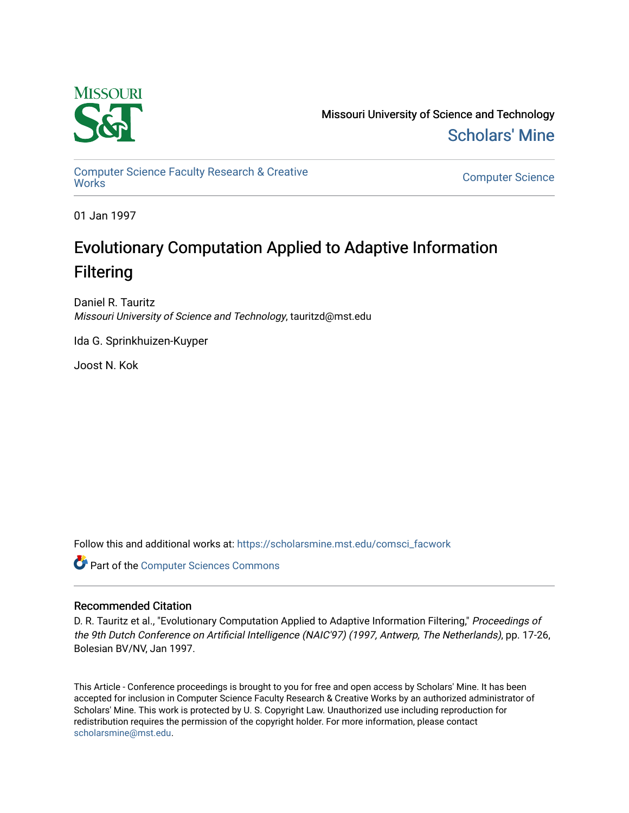

Missouri University of Science and Technology [Scholars' Mine](https://scholarsmine.mst.edu/) 

[Computer Science Faculty Research & Creative](https://scholarsmine.mst.edu/comsci_facwork) 

**Computer Science** 

01 Jan 1997

# Evolutionary Computation Applied to Adaptive Information Filtering

Daniel R. Tauritz Missouri University of Science and Technology, tauritzd@mst.edu

Ida G. Sprinkhuizen-Kuyper

Joost N. Kok

Follow this and additional works at: [https://scholarsmine.mst.edu/comsci\\_facwork](https://scholarsmine.mst.edu/comsci_facwork?utm_source=scholarsmine.mst.edu%2Fcomsci_facwork%2F190&utm_medium=PDF&utm_campaign=PDFCoverPages) 

**Part of the [Computer Sciences Commons](http://network.bepress.com/hgg/discipline/142?utm_source=scholarsmine.mst.edu%2Fcomsci_facwork%2F190&utm_medium=PDF&utm_campaign=PDFCoverPages)** 

### Recommended Citation

D. R. Tauritz et al., "Evolutionary Computation Applied to Adaptive Information Filtering," Proceedings of the 9th Dutch Conference on Artificial Intelligence (NAIC'97) (1997, Antwerp, The Netherlands), pp. 17-26, Bolesian BV/NV, Jan 1997.

This Article - Conference proceedings is brought to you for free and open access by Scholars' Mine. It has been accepted for inclusion in Computer Science Faculty Research & Creative Works by an authorized administrator of Scholars' Mine. This work is protected by U. S. Copyright Law. Unauthorized use including reproduction for redistribution requires the permission of the copyright holder. For more information, please contact [scholarsmine@mst.edu.](mailto:scholarsmine@mst.edu)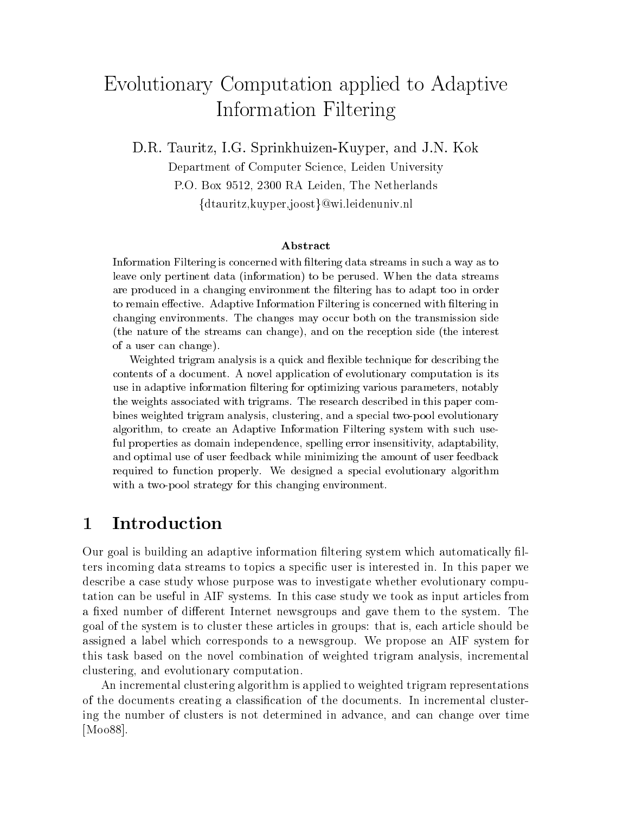# Evolutionary Computation applied to Adaptive Information Filtering

D-R- Tauritz I-G- SprinkhuizenKuyper and J-N- Kok

Department of Computer Science- Leiden University Po Box - Random - Radio - Random - Random - Random - Random - Random - Random - Random - Random - Random - Ran  $\{{\rm d} \text{tauritz,kuyper}, {\rm j oost}\}$ @wi.leidenuniv.nl

Information Filtering is concerned with -ltering data streams in suchaway as to leave only pertinent data (information) to be perused. When the data streams are produced in a changing environment the -ltering has to adapt too in order  $\mathbf{A}$ changing environments The changes may occur both on the transmission side (the nature of the streams can change), and on the reception side (the interest of a user can change

Weighted trigram analysis is a quick and flexible technique for describing the contents of a document A novel application of evolutionary computation is its use in adaptive information -ltering for optimizing various parameters notably the weights associated with trigrams. The research described in this paper combines weighted trigram analysis, clustering, and a special two-pool evolutionary algorithm, to create an Adaptive Information Filtering system with such useful properties as domain independence, spelling error insensitivity, adaptability, and optimal use of user feedback while minimizing the amount of user feedback required to function properly We designed a special evolutionary algorithm with a two-pool strategy for this changing environment.

### 1 Introduction

Our goal is building an adaptive information filtering system which automatically filters incoming data streams to topics a specific user is interested in. In this paper we describe a case study whose purpose was to investigate whether evolutionary compu tation can be useful in AIF systems In this case study we took as input articles from a fixed number of different Internet newsgroups and gave them to the system. The go article system is to constant in article in groups the system is an indicate in article show article should assigned a label which corresponds to a newsgroup We propose an AIF system for this task based on the novel combination of weighted trigram analysis- incremental clustering-the-clustering-computationary computationary computationary computationary computationary computation

An incremental clustering algorithm is applied to weighted trigram representations of the documents creating a classification of the documents. In incremental clustering the number of clusters is not determined in advance- and can change over time [M0088].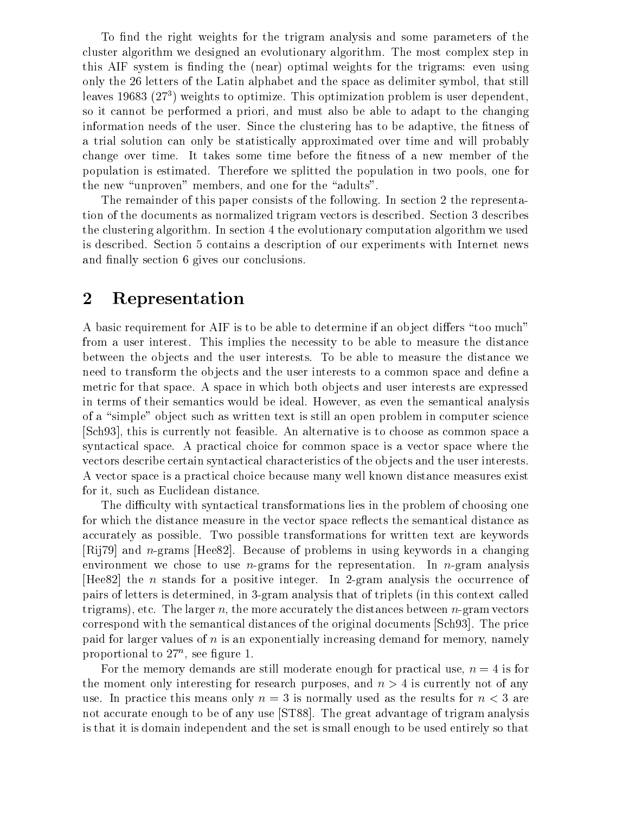To find the right weights for the trigram analysis and some parameters of the cluster algorithm we designed an evolutionary algorithm The most complex step in this AIF system is finding the (near) optimal weights for the trigrams: even using only the letters of the Latin alphabet and the space as delimiter symbol- that still leaves 19683  $(27<sup>3</sup>)$  weights to optimize. This optimization problem is user dependent, so it cannot be performed a priori- and must also be able to adapt to the changing information needs of the user Since the clustering has to be adaptive- the tness of a trial solution can only be statistically approximated over time and will probably change over time. It takes some time before the fitness of a new member of the proportion is estimated Therefore we suppose the population in two population in two positions in two poolsthe new unproved the continues and one for the adults of the adults of the adults of the adults of the adults o

The remainder of this paper consists of the following. In section 2 the representation of the documents as normalized trigram vectors is described. Section 3 describes the clustering algorithm. In section 4 the evolutionary computation algorithm we used is described. Section 5 contains a description of our experiments with Internet news and finally section 6 gives our conclusions.

#### $\boldsymbol{2}$ Representation

A basic requirement for AIF is to be able to determine if an object differs "too much" from a user interest. This implies the necessity to be able to measure the distance between the objects and the user interests To be able to measure the distance we need to transform the objects and the user interests to a common space and define a metric for that space. A space in which both objects and user interests are expressed in terms of their semantics would be ideal However- as even the semantical analysis of a "simple" object such as written text is still an open problem in computer science , the currently notation and feasible and feature and the common space as common space as provided in the common space as common space as common space as common space as common space as common space as common space as comm syntactical space A practical choice for common space is a vector space where the vectors describe certain syntactical characteristics of the objects and the user interests. A vector space is a practical choice because many well known distance measures exist for it- such as Euclidean distance

The difficulty with syntactical transformations lies in the problem of choosing one for which the distance measure in the vector space reflects the semantical distance as accurately as possible Two possible transformations for written text are keywords  $\lbrack Rij79\rbrack$  and *n*-grams  $\lbrack Hee82\rbrack$ . Because of problems in using keywords in a changing environment we chose to use *n*-grams for the representation. In *n*-gram analysis [Hee82] the n stands for a positive integer. In 2-gram analysis the occurrence of pairs is determined in the lettermine  $\alpha_1$  and  $\alpha_2$  and the this context called the context called the context called the context called the context called the context called the context called the context called the c the more accurately the more accurately the more accurately the distances of the distances of the distances of correspond with the semantical distances of the original documents [Sch 93]. The price paid for larger values of is an exponentially increasing demand for memory-complete  $\mathcal{L}$ proportional to  $27^{\circ}$ , see ngure 1.

For the memory demands are still moderate enough for practical use- <sup>n</sup> is for ence moment only interesting for research purposes, what  $\nu > 1$  is currently not of any use. In practice this means only  $n = 3$  is normally used as the results for  $n < 3$  are not accurate enough to be of any use [ST88]. The great advantage of trigram analysis is that it is domain independent and the set is small enough to be used entirely so that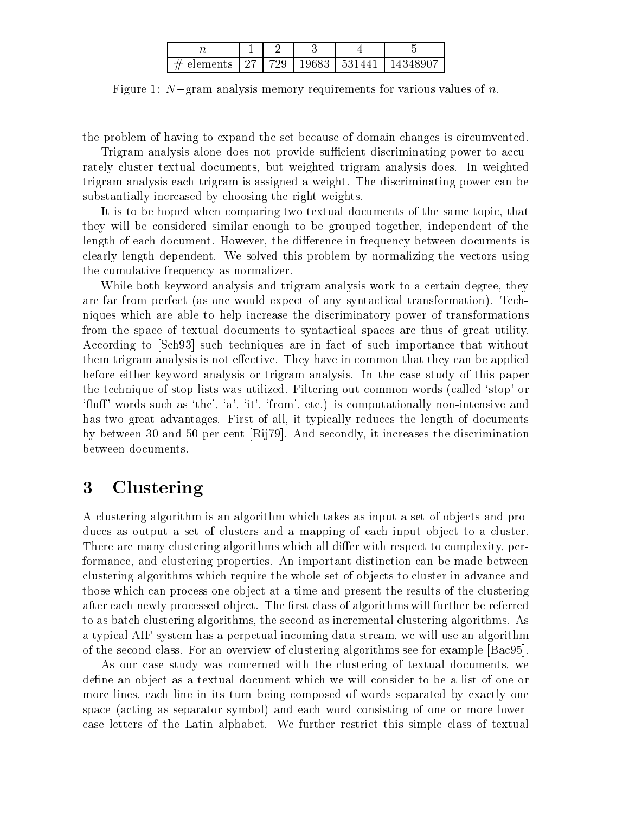| # elements   27   729   19683   531441   1 |  |  |  |
|--------------------------------------------|--|--|--|

Figure 1. TV  $\equiv$ gram analysis memory requirements for various values of  $n$ .

the problem of having to expand the set because of domain changes is circumvented

Trigram analysis alone does not provide sufficient discriminating power to accurately cluster textual documents- but weighted trigram analysis does In weighted trigram analysis each trigram is assigned a weight. The discriminating power can be substantially increased by choosing the right weights

It is to be hoped when comparing two textual documents of the same topic- that they will be considered similar enough to be grouped together- independent of the length of each document However- the di
erence in frequency between documents is clearly length dependent. We solved this problem by normalizing the vectors using the cumulative frequency as normalizer

While both keyword analysis and trigram analysis work to a certain degree- they are far from perfect (as one would expect of any syntactical transformation). Techniques which are able to help increase the discriminatory power of transformations from the space of textual documents to syntactical spaces are thus of great utility According to Sch such techniques are in fact of such importance that without them trigram analysis is not effective. They have in common that they can be applied before either keyword analysis or trigram analysis. In the case study of this paper the technique of stop lists was utilized. Filtering out common words (called 'stop' or us such asthe-such asthe-such asthe-such asthe-such asthe-such asthe-such and the-such and the-such and the-such a has two great advantages First of all-length of all-length of all-length of documents  $\alpha$ by between  $\mathcal{L}$  and secondly-discrimination  $\mathcal{L}$  and secondly-discrimination  $\mathcal{L}$ between documents

#### 3 Clustering

A clustering algorithm is an algorithm which takes as input a set of objects and produces as output a set of clusters and a mapping of each input object to a cluster. There are many clustering algorithms which all di
er with respect to complexity- per formance- and clustering properties An important distinction can be made between clustering algorithms which require the whole set of ob jects to cluster in advance and those which can process one object at a time and present the results of the clustering after each newly processed object. The first class of algorithms will further be referred to as second clustering algorithms- the second as incremental clustering algorithms As incremental clustering a typical AIF system has a perpetual income of the stream-  $\alpha$  and all use and algorithmic streamof the second class. For an overview of clustering algorithms see for example [Bac95].

 $\Lambda$ s our case study was concerned with the clustering of textual documents-documents-documents-documents-documentsdefine an object as a textual document which we will consider to be a list of one or more in its turn being its turn being composed of words separated by exactly ones. space (acting as separator symbol) and each word consisting of one or more lowercase letters of the Latin alphabet We further restrict this simple class of textual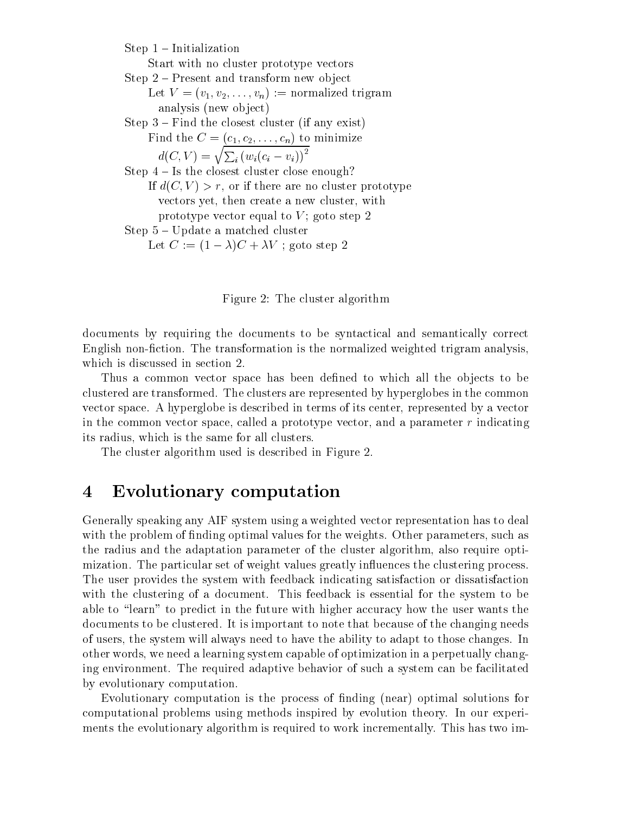$Step 1 - Initialization$ Start with no cluster prototype vectors Step  $2$  – Present and transform new object  $\mathbf{L}$ .  $\mathbf{V} = \{v_1, v_2, \ldots, v_n\}$ . Hormanized trigram analysis (new object) Step  $3$  – Find the closest cluster (if any exist)  $\mathbf{r}$  and  $\mathbf{c}$  (c<sub>1</sub>, e<sub>2</sub>,  $\ldots$  , e<sub>n</sub>) we imminimize  $d(C, V) = \sqrt{\sum_i (w_i(c_i - v_i))^2}$ Step  $4$  – Is the closest cluster close enough? If  $\omega_1 \cup \cdots \cup \omega_n$  if  $\omega$  if there are no cluster prototype vectors yet, then created at new clusterprototype vector equal to  $V$ ; goto step 2 Step  $5 - Update$  a matched cluster Let  $C := \square - \triangle$   $C + \triangle V$ , goto step  $\triangle$ 

Figure 2: The cluster algorithm

documents by requiring the documents to be syntactical and semantically correct English non-fiction. The transformation is the normalized weighted trigram analysis, which is discussed in section 2.

Thus a common vector space has been defined to which all the objects to be clustered are transformed. The clusters are represented by hyperglobes in the common vector space A hyperglobe is described in terms of its center- represented byavector in the common vector space- called a prototype vector- and a parameter <sup>r</sup> indicating ... suresties in the same for all clusters in the same form of  $\sim$ 

The cluster algorithm used is described in Figure 2.

#### Evolutionary computation  $\overline{\mathcal{A}}$

Generally speaking any AIF system using a weighted vector representation has to deal with the problem of normal values for the weights of the weights of the weights Other parametersthe radius and the adaptation parameter of the cluster algorithm- also require opti mization. The particular set of weight values greatly influences the clustering process. The user provides the system with feedback indicating satisfaction or dissatisfaction with the clustering of a document. This feedback is essential for the system to be able to "learn" to predict in the future with higher accuracy how the user wants the documents to be clustered. It is important to note that because of the changing needs of users-the will always need to have the system to the ability the ability to those changes Income changes In other words- we need a learning system capable of optimization in a perpetually chang ing environment. The required adaptive behavior of such a system can be facilitated by evolutionary computation

Evolutionary computation is the process of finding (near) optimal solutions for computational problems using methods inspired by evolution theory In our experi ments the evolutionary algorithm is required to work incrementally. This has two im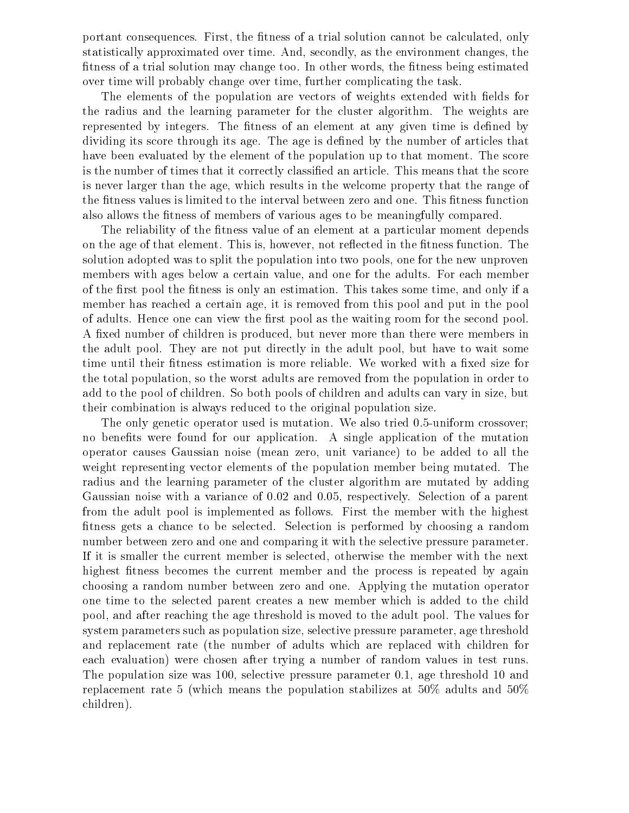portant consequences First- the trial solution cannot be calculated-cannot be calculated-cannot be calculatedstatistically approximated over time Andtness of a trial solution may change too In other words- the tness being estimated over time will probably change over time- further complicating the task

The elements of the population are vectors of weights extended with fields for the radius and the learning parameter for the cluster algorithm. The weights are represented by integers. The fitness of an element at any given time is defined by dividing its score through its age. The age is defined by the number of articles that have been evaluated by the element of the population up to that moment. The score is the number of times that it correctly classified an article. This means that the score is never larger than the age- which results in the welcome property that the range of the fitness values is limited to the interval between zero and one. This fitness function also allows the fitness of members of various ages to be meaningfully compared.

The reliability of the fitness value of an element at a particular moment depends on the age of that element This is- however- not reected in the tness function The solution and possessing to split the population into two possessing two power was two pools-the new under the n members with ages below a certain value- and one for the adults For each member of the first post the fitness is only and takes some time-  $\sim$  this takes some time-  $\sim$  this take  $\sim$ member has reached a certain age- it is removed from this pool and put in the pool of adults. Hence one can view the first pool as the waiting room for the second pool. A xed number of children is produced- but never more than there were members in the adult pool They are not put directly in the adult pool- but have to wait some time until their fitness estimation is more reliable. We worked with a fixed size for the total population-population-control the worst are removed from the population in order to population in ord add to the pool of children So both pools of children and adults can vary in size- but their combination is always reduced to the original population size

The only genetic operator used is mutation. We also tried  $0.5$ -uniform crossover; no benefits were found for our application. A single application of the mutation operator causes Gaussian noise mean zero- unit variance to be added to all the weight representing vector elements of the population member being mutated. The radius and the learning parameter of the cluster algorithm are mutated by adding Gaussian noise with a variance of your members of a value of a parties of a parties of a parties. from the adult pool is implemented as follows. First the member with the highest fitness gets a chance to be selected. Selection is performed by choosing a random number between zero and one and comparing it with the selective pressure parameter If it is smaller the current member is selected- otherwise the member with the next highest fitness becomes the current member and the process is repeated by again choosing a random number between zero and one Applying the mutation operator one time to the selected parent creates a new member which is added to the child pool- and after reaching the age threshold is moved to the adult pool The values for system parameters such as population size-street, and the pressure parameters parameters and the pressure para and replacement rate (the number of adults which are replaced with children for each evaluation) were chosen after trying a number of random values in test runs. The population size was - selective pressure parameter - age threshold and replacement rate 5 (which means the population stabilizes at  $50\%$  adults and  $50\%$ children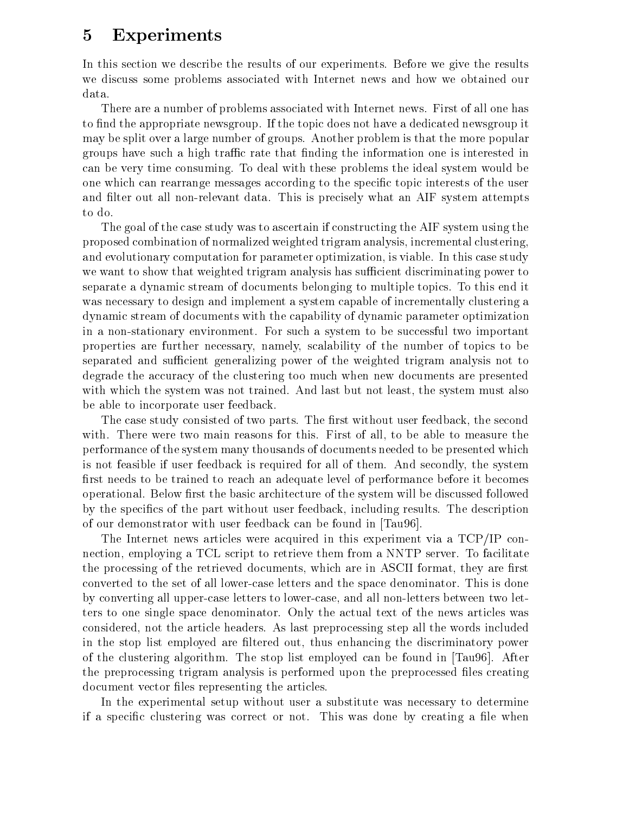# Experiments

In this section we describe the results of our experiments. Before we give the results we discuss some problems associated with Internet news and how we obtained our data

There are a number of problems associated with Internet news. First of all one has to find the appropriate newsgroup. If the topic does not have a dedicated newsgroup it may be split over a large number of groups Another problem is that the more popular groups have such a high traffic rate that finding the information one is interested in can be very time consuming. To deal with these problems the ideal system would be one which can rearrange messages according to the specific topic interests of the user and filter out all non-relevant data. This is precisely what an AIF system attempts to do

The goal of the case study was to ascertain if constructing the AIF system using the proposed combination of normalized weighted trigram analysis- incremental clusteringand evolutionary computation for parameter optimization- the computation- is viable in this case study. we want to show that weighted trigram analysis has sufficient discriminating power to separate a dynamic stream of documents belonging to multiple topics. To this end it was necessary to design and implement a system capable of incrementally clustering a dynamic stream of documents with the capability of dynamic parameter optimization in a non-stationary environment. For such a system to be successful two important properties are further necessary-properties and the number of the number of the number of the number of the number of the number of the number of the number of the number of the number of the number of the number of the nu separated and sufficient generalizing power of the weighted trigram analysis not to degrade the accuracy of the clustering too much when new documents are presented with which the system was not trained And last but not least-least-least-least-least-least-least-least-least-l be able to incorporate user feedback

The case study consisted of two parts The rst without user feedback- the second with There were two main reasons for this First of all-to-be able to measure the all-to-be able to measure the<br>This First of all-to-be able to measure the all-to-be able to-be able to-be able to-be able to-be able to-be a performance of the system many thousands of documents needed to be presented which is not feasible if user feedback is required for all of them And secondly- the system first needs to be trained to reach an adequate level of performance before it becomes operational. Below first the basic architecture of the system will be discussed followed  $\alpha$  is the species of the part without user  $\alpha$  including results The description  $\alpha$ of our demonstrator with user feedback can be found in [Tau96].

The Internet news articles were acquired in this experiment via a  $TCP/IP$  connection- employing a TCL script to retrieve them from a NNTP server To facilitate the processing of the retrieved documentative documents- are in ASCII formations, they are retrieved converted to the set of all lower-case letters and the space denominator. This is done by converting all uppercase letters to lowercase- and all nonletters between two let ters to one single space denominator Only the actual text of the news articles was considered article headers As last preparation and the specifically step also include the second included the in the stop list employed are ltered out- thus enhancing the discriminatory power of the clustering algorithm. The stop list employed can be found in  $[Tau 96]$ . After the preprocessing trigram analysis is performed upon the preprocessed files creating document vector files representing the articles.

In the experimental setup without user a substitute was necessary to determine if a specific clustering was correct or not. This was done by creating a file when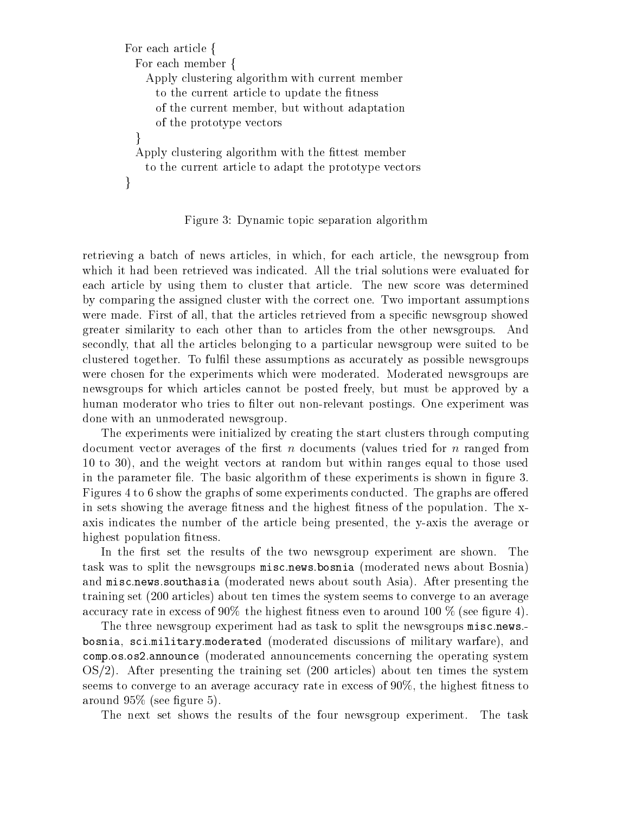```
For each article f
  For each member f
    Apply clustering algorithm with current member
      to the current article to update the fitness
      of the current member-dimension \mathbf{f}_t and \mathbf{f}_t adaptation \mathbf{f}_t adaptation \mathbf{f}_tof the prototype vectors
  \}Apply clustering algorithm with the fittest member
    to the current article to adapt the prototype vectors
\}
```
Figure 3: Dynamic topic separation algorithm

retrieving a batch of news articles- in which- for each article- the newsgroup from which it had been retrieved was indicated. All the trial solutions were evaluated for each article by using them to cluster that article. The new score was determined by comparing the assigned cluster with the correct one Two important assumptions were made first of all-that the articles retrieved from a species retrieved from a species retrieved from a sp greater similarity to each other than to articles from the other newsgroups And secondly- that all the articles belonging to a particular newsgroup were suited to be clustered together. To fulfil these assumptions as accurately as possible newsgroups were chosen for the experiments which were moderated. Moderated newsgroups are rewsgroups for which are detected for posted freely-and the articles are population of the approved by a human moderator who tries to filter out non-relevant postings. One experiment was done with an unmoderated newsgroup

The experiments were initialized by creating the start clusters through computing document vector averages of the first n documents (values tried for n ranged from to  $\mathbf{u}$ in the parameter file. The basic algorithm of these experiments is shown in figure 3. Figures 4 to 6 show the graphs of some experiments conducted. The graphs are offered in sets showing the average fitness and the highest fitness of the population. The xaxis indicates the number of the article being presented-the article being presentedhighest population fitness.

In the first set the results of the two newsgroup experiment are shown. The task was to split the newsgroups misc.news.bosnia (moderated news about Bosnia) and misc.news.southasia (moderated news about south Asia). After presenting the training set (200 articles) about ten times the system seems to converge to an average accuracy rate in excess of 90% the highest fitness even to around 100 % (see figure 4).

The three newsgroup experiment had as task to split the newsgroups misc.news.bosnia- si scimilitativa international discussions of military of military warfarea announce moderated announcement in the operation concerning concerning the operation of the operation of the operation of the operation of the operation of the operation of the operation of the operation of the operation  $OS/2$ . After presenting the training set  $(200 \text{ articles})$  about ten times the system seems to an average accuracy rate in excess of  $\mathbb{N}$ around  $95\%$  (see figure 5).

The next set shows the results of the four newsgroup experiment. The task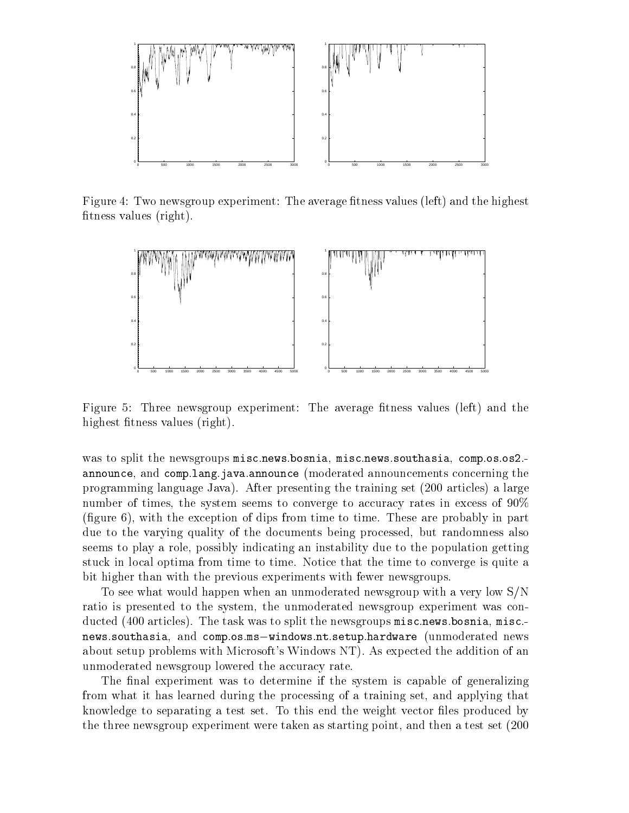

Figure 4: Two newsgroup experiment: The average fitness values (left) and the highest fitness values  $(\text{right}).$ 



Figure 5: Three newsgroup experiment: The average fitness values (left) and the highest fitness values (right).

was to split the newsgroups miscularus component misculina- and contraction in composition in announce - and complements produced and complete moderated and complete concerning the programming language Java). After presenting the training set  $(200 \text{ articles})$  a large number of times-  $\frac{1}{2}$  times-system seems to a converge to accuracy rates in excess of  $\frac{1}{2}$ gure - with the exception of dips from time to time These are probably in part due to the varying quality of the documents being processed- but randomness also seems to play a role- possibly indicating an instability due to the population getting stuck in local optima from time to time Notice that the time to converge is quite a bit higher than with the previous experiments with fewer newsgroups

To see what would happen when an unmoderated newsgroup with a very low  $S/N$ ratio is presented to the system- the unmoderated newsgroup experiment was con  $\alpha$  ducted  $\alpha$  are the split task was to split the newsgroups misculture in the split misc  $\alpha$ newssouthasia- and composms-windowsntsetuphardware unmoderated news about setup problems with Microsoft's Windows NT). As expected the addition of an unmoderated newsgroup lowered the accuracy rate

The final experiment was to determine if the system is capable of generalizing from what it has learned during the processing of a training set- and applying that knowledge to separating a test set. To this end the weight vector files produced by the three newsgroup experiment were taken as starting point- and then a test set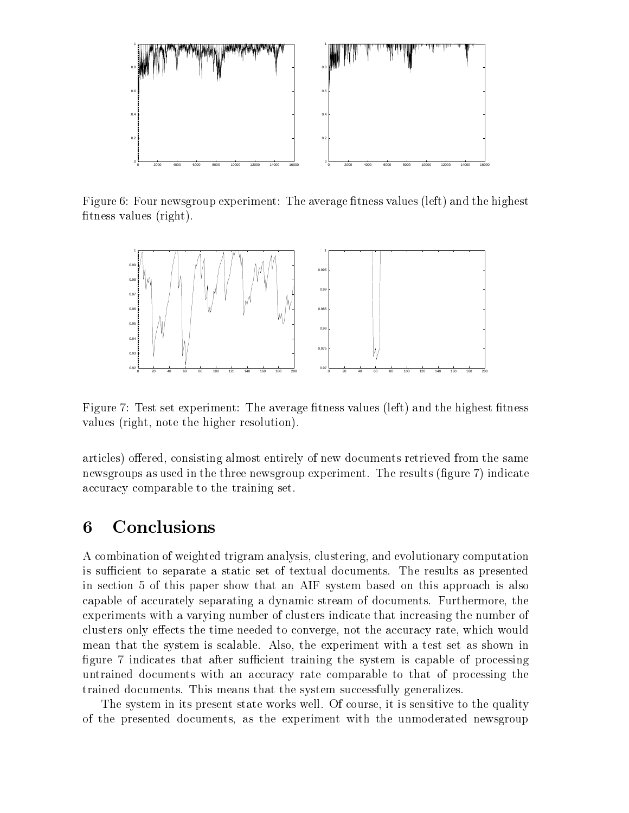

Figure 6: Four newsgroup experiment: The average fitness values (left) and the highest fitness values  $(\text{right}).$ 



Figure 7: Test set experiment: The average fitness values (left) and the highest fitness values right- note the higher resolution

articles of the same of the same documents retrieved from the same documents retrieved from the same of the same newsgroups as used in the three newsgroup experiment. The results (figure 7) indicate accuracy comparable to the training set

#### 6 Conclusions

a computation of weighted trigram analysis- computationary computationary computations and and and a is sufficient to separate a static set of textual documents. The results as presented in section 5 of this paper show that an AIF system based on this approach is also capable of accurately separating a dynamic stream of documents Furthermore- the experiments with a varying number of clusters indicate that increasing the number of ects the time needed to converge the accuracy rate-time needed to convergemean that the system is scalable Also- the experiment with a test set as shown in figure 7 indicates that after sufficient training the system is capable of processing untrained documents with an accuracy rate comparable to that of processing the trained documents. This means that the system successfully generalizes.

The system in its present state works well Of course- it is sensitive to the quality of the presented documents- as the experiment with the unmoderated newsgroup